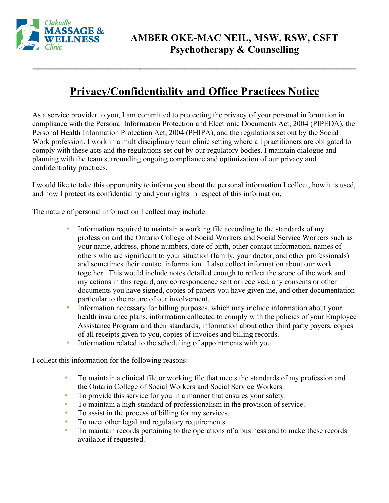

## **Privacy/Confidentiality and Office Practices Notice**

**\_\_\_\_\_\_\_\_\_\_\_\_\_\_\_\_\_\_\_\_\_\_\_\_\_\_\_\_\_\_\_\_\_\_\_\_\_\_\_\_\_\_\_\_\_\_\_\_\_\_\_**

As a service provider to you, I am committed to protecting the privacy of your personal information in compliance with the Personal Information Protection and Electronic Documents Act, 2004 (PIPEDA), the Personal Health Information Protection Act, 2004 (PHIPA), and the regulations set out by the Social Work profession. I work in a multidisciplinary team clinic setting where all practitioners are obligated to comply with these acts and the regulations set out by our regulatory bodies. I maintain dialogue and planning with the team surrounding ongoing compliance and optimization of our privacy and confidentiality practices.

I would like to take this opportunity to inform you about the personal information I collect, how it is used, and how I protect its confidentiality and your rights in respect of this information.

The nature of personal information I collect may include:

- Information required to maintain a working file according to the standards of my profession and the Ontario College of Social Workers and Social Service Workers such as your name, address, phone numbers, date of birth, other contact information, names of others who are significant to your situation (family, your doctor, and other professionals) and sometimes their contact information. I also collect information about our work together. This would include notes detailed enough to reflect the scope of the work and my actions in this regard, any correspondence sent or received, any consents or other documents you have signed, copies of papers you have given me, and other documentation particular to the nature of our involvement.
- Information necessary for billing purposes, which may include information about your health insurance plans, information collected to comply with the policies of your Employee Assistance Program and their standards, information about other third party payers, copies of all receipts given to you, copies of invoices and billing records.
- Information related to the scheduling of appointments with you.

I collect this information for the following reasons:

- To maintain a clinical file or working file that meets the standards of my profession and the Ontario College of Social Workers and Social Service Workers.
- To provide this service for you in a manner that ensures your safety.
- To maintain a high standard of professionalism in the provision of service.
- To assist in the process of billing for my services.
- To meet other legal and regulatory requirements.
- To maintain records pertaining to the operations of a business and to make these records available if requested.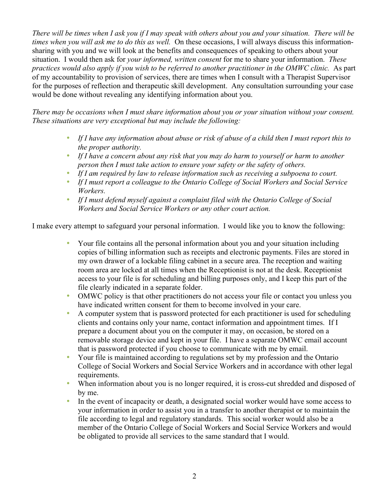*There will be times when I ask you if I may speak with others about you and your situation. There will be times when you will ask me to do this as well.* On these occasions, I will always discuss this informationsharing with you and we will look at the benefits and consequences of speaking to others about your situation. I would then ask for *your informed, written consent* for me to share your information. *These practices would also apply if you wish to be referred to another practitioner in the OMWC clinic.* As part of my accountability to provision of services, there are times when I consult with a Therapist Supervisor for the purposes of reflection and therapeutic skill development. Any consultation surrounding your case would be done without revealing any identifying information about you.

*There may be occasions when I must share information about you or your situation without your consent. These situations are very exceptional but may include the following:*

- *If I have any information about abuse or risk of abuse of a child then I must report this to the proper authority.*
- *If I have a concern about any risk that you may do harm to yourself or harm to another person then I must take action to ensure your safety or the safety of others.*
- *If I am required by law to release information such as receiving a subpoena to court.*
- *If I must report a colleague to the Ontario College of Social Workers and Social Service Workers.*
- *If I must defend myself against a complaint filed with the Ontario College of Social Workers and Social Service Workers or any other court action.*

I make every attempt to safeguard your personal information. I would like you to know the following:

- Your file contains all the personal information about you and your situation including copies of billing information such as receipts and electronic payments. Files are stored in my own drawer of a lockable filing cabinet in a secure area. The reception and waiting room area are locked at all times when the Receptionist is not at the desk. Receptionist access to your file is for scheduling and billing purposes only, and I keep this part of the file clearly indicated in a separate folder.
- OMWC policy is that other practitioners do not access your file or contact you unless you have indicated written consent for them to become involved in your care.
- A computer system that is password protected for each practitioner is used for scheduling clients and contains only your name, contact information and appointment times. If I prepare a document about you on the computer it may, on occasion, be stored on a removable storage device and kept in your file. I have a separate OMWC email account that is password protected if you choose to communicate with me by email.
- Your file is maintained according to regulations set by my profession and the Ontario College of Social Workers and Social Service Workers and in accordance with other legal requirements.
- When information about you is no longer required, it is cross-cut shredded and disposed of by me.
- In the event of incapacity or death, a designated social worker would have some access to your information in order to assist you in a transfer to another therapist or to maintain the file according to legal and regulatory standards. This social worker would also be a member of the Ontario College of Social Workers and Social Service Workers and would be obligated to provide all services to the same standard that I would.